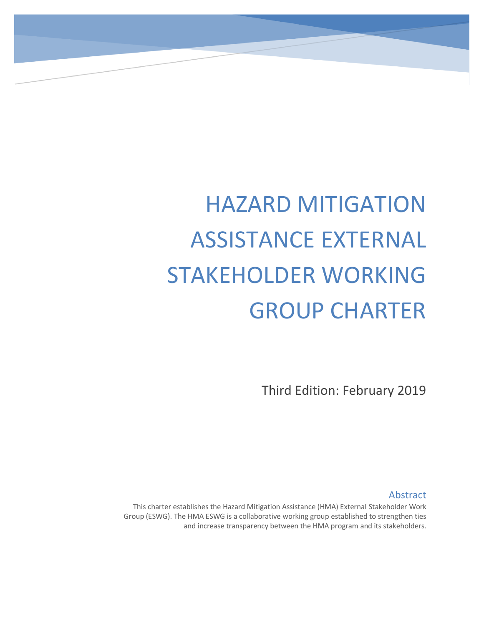# HAZARD MITIGATION ASSISTANCE EXTERNAL STAKEHOLDER WORKING GROUP CHARTER

Third Edition: February 2019

Abstract

This charter establishes the Hazard Mitigation Assistance (HMA) External Stakeholder Work Group (ESWG). The HMA ESWG is a collaborative working group established to strengthen ties and increase transparency between the HMA program and its stakeholders.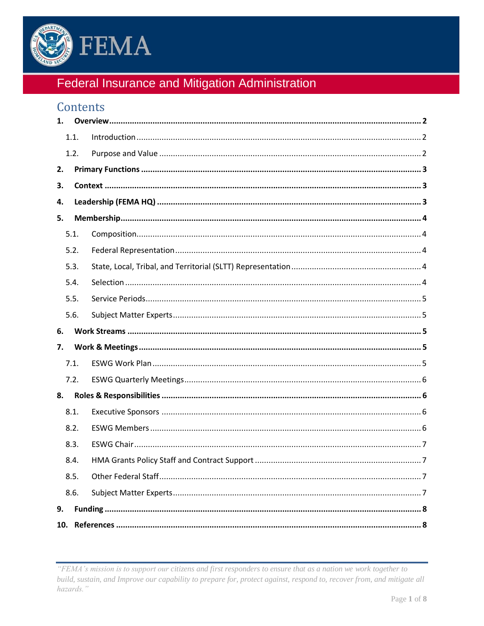

# Federal Insurance and Mitigation Administration

# Contents

| 1. |      |  |
|----|------|--|
|    | 1.1. |  |
|    | 1.2. |  |
| 2. |      |  |
| З. |      |  |
| 4. |      |  |
| 5. |      |  |
|    | 5.1. |  |
|    | 5.2. |  |
|    | 5.3. |  |
|    | 5.4. |  |
|    | 5.5. |  |
|    | 5.6. |  |
| 6. |      |  |
|    |      |  |
| 7. |      |  |
|    | 7.1. |  |
|    | 7.2. |  |
| 8. |      |  |
|    | 8.1. |  |
|    | 8.2. |  |
|    | 8.3. |  |
|    | 8.4. |  |
|    | 8.5. |  |
|    | 8.6. |  |
| 9. |      |  |

<sup>&</sup>quot;FEMA's mission is to support our citizens and first responders to ensure that as a nation we work together to build, sustain, and Improve our capability to prepare for, protect against, respond to, recover from, and mitigate all hazards."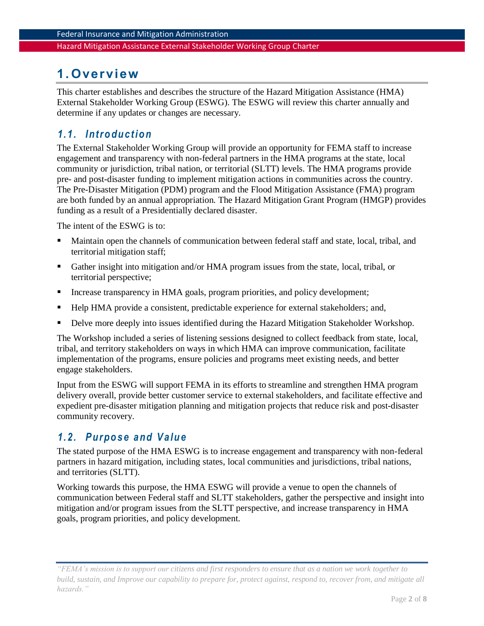## <span id="page-2-0"></span>**1. Overview**

This charter establishes and describes the structure of the Hazard Mitigation Assistance (HMA) External Stakeholder Working Group (ESWG). The ESWG will review this charter annually and determine if any updates or changes are necessary.

### <span id="page-2-1"></span>*1. 1. Intro du ct io n*

The External Stakeholder Working Group will provide an opportunity for FEMA staff to increase engagement and transparency with non-federal partners in the HMA programs at the state, local community or jurisdiction, tribal nation, or territorial (SLTT) levels. The HMA programs provide pre- and post-disaster funding to implement mitigation actions in communities across the country. The Pre-Disaster Mitigation (PDM) program and the Flood Mitigation Assistance (FMA) program are both funded by an annual appropriation. The Hazard Mitigation Grant Program (HMGP) provides funding as a result of a Presidentially declared disaster.

The intent of the ESWG is to:

- Maintain open the channels of communication between federal staff and state, local, tribal, and territorial mitigation staff;
- Gather insight into mitigation and/or HMA program issues from the state, local, tribal, or territorial perspective;
- Increase transparency in HMA goals, program priorities, and policy development;
- Help HMA provide a consistent, predictable experience for external stakeholders; and,
- Delve more deeply into issues identified during the Hazard Mitigation Stakeholder Workshop.

The Workshop included a series of listening sessions designed to collect feedback from state, local, tribal, and territory stakeholders on ways in which HMA can improve communication, facilitate implementation of the programs, ensure policies and programs meet existing needs, and better engage stakeholders.

Input from the ESWG will support FEMA in its efforts to streamline and strengthen HMA program delivery overall, provide better customer service to external stakeholders, and facilitate effective and expedient pre-disaster mitigation planning and mitigation projects that reduce risk and post-disaster community recovery.

#### <span id="page-2-2"></span>*1. 2. Purpo se and V alu e*

The stated purpose of the HMA ESWG is to increase engagement and transparency with non-federal partners in hazard mitigation, including states, local communities and jurisdictions, tribal nations, and territories (SLTT).

Working towards this purpose, the HMA ESWG will provide a venue to open the channels of communication between Federal staff and SLTT stakeholders, gather the perspective and insight into mitigation and/or program issues from the SLTT perspective, and increase transparency in HMA goals, program priorities, and policy development.

*<sup>&</sup>quot;FEMA's mission is to support our citizens and first responders to ensure that as a nation we work together to build, sustain, and Improve our capability to prepare for, protect against, respond to, recover from, and mitigate all hazards."*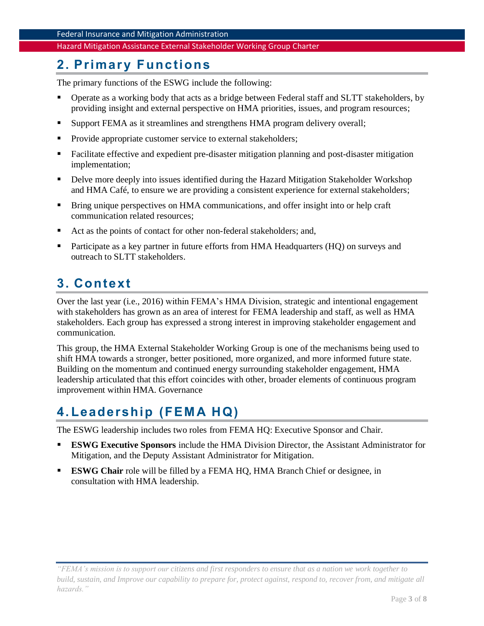## <span id="page-3-0"></span>**2. Primary Functions**

The primary functions of the ESWG include the following:

- Operate as a working body that acts as a bridge between Federal staff and SLTT stakeholders, by providing insight and external perspective on HMA priorities, issues, and program resources;
- **EXUPPORT FEMA** as it streamlines and strengthens HMA program delivery overall;
- Provide appropriate customer service to external stakeholders;
- Facilitate effective and expedient pre-disaster mitigation planning and post-disaster mitigation implementation;
- Delve more deeply into issues identified during the Hazard Mitigation Stakeholder Workshop and HMA Café, to ensure we are providing a consistent experience for external stakeholders;
- Bring unique perspectives on HMA communications, and offer insight into or help craft communication related resources;
- Act as the points of contact for other non-federal stakeholders; and,
- Participate as a key partner in future efforts from HMA Headquarters (HQ) on surveys and outreach to SLTT stakeholders.

# <span id="page-3-1"></span>**3. Context**

Over the last year (i.e., 2016) within FEMA's HMA Division, strategic and intentional engagement with stakeholders has grown as an area of interest for FEMA leadership and staff, as well as HMA stakeholders. Each group has expressed a strong interest in improving stakeholder engagement and communication.

This group, the HMA External Stakeholder Working Group is one of the mechanisms being used to shift HMA towards a stronger, better positioned, more organized, and more informed future state. Building on the momentum and continued energy surrounding stakeholder engagement, HMA leadership articulated that this effort coincides with other, broader elements of continuous program improvement within HMA. Governance

# <span id="page-3-2"></span>**4. Leadership (FEM A HQ)**

The ESWG leadership includes two roles from FEMA HQ: Executive Sponsor and Chair.

- **ESWG Executive Sponsors** include the HMA Division Director, the Assistant Administrator for Mitigation, and the Deputy Assistant Administrator for Mitigation.
- **ESWG Chair** role will be filled by a FEMA HO, HMA Branch Chief or designee, in consultation with HMA leadership.

*<sup>&</sup>quot;FEMA's mission is to support our citizens and first responders to ensure that as a nation we work together to build, sustain, and Improve our capability to prepare for, protect against, respond to, recover from, and mitigate all hazards."*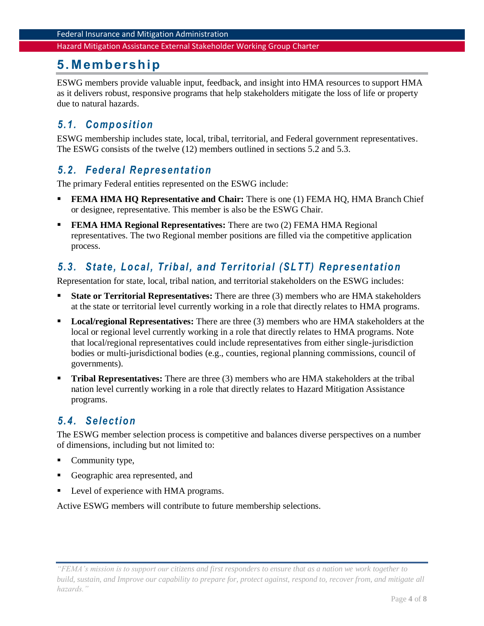## <span id="page-4-0"></span>**5. Membership**

ESWG members provide valuable input, feedback, and insight into HMA resources to support HMA as it delivers robust, responsive programs that help stakeholders mitigate the loss of life or property due to natural hazards.

#### <span id="page-4-1"></span>*5. 1. Co mp o si ti on*

ESWG membership includes state, local, tribal, territorial, and Federal government representatives. The ESWG consists of the twelve (12) members outlined in sections 5.2 and 5.3.

#### <span id="page-4-2"></span>*5. 2. Fed eral R epresen tati on*

The primary Federal entities represented on the ESWG include:

- **FEMA HMA HQ Representative and Chair:** There is one (1) FEMA HQ, HMA Branch Chief or designee, representative. This member is also be the ESWG Chair.
- **FEMA HMA Regional Representatives:** There are two (2) FEMA HMA Regional representatives. The two Regional member positions are filled via the competitive application process.

## <span id="page-4-3"></span>*5. 3. Stat e, Lo cal , Tri b al , and T errit ori al (SL TT) R epr esent at io n*

Representation for state, local, tribal nation, and territorial stakeholders on the ESWG includes:

- **State or Territorial Representatives:** There are three (3) members who are HMA stakeholders at the state or territorial level currently working in a role that directly relates to HMA programs.
- Local/regional Representatives: There are three (3) members who are HMA stakeholders at the local or regional level currently working in a role that directly relates to HMA programs. Note that local/regional representatives could include representatives from either single-jurisdiction bodies or multi-jurisdictional bodies (e.g., counties, regional planning commissions, council of governments).
- **Tribal Representatives:** There are three (3) members who are HMA stakeholders at the tribal nation level currently working in a role that directly relates to Hazard Mitigation Assistance programs.

## <span id="page-4-4"></span>*5. 4. Select io n*

The ESWG member selection process is competitive and balances diverse perspectives on a number of dimensions, including but not limited to:

- Community type,
- Geographic area represented, and
- Level of experience with HMA programs.

Active ESWG members will contribute to future membership selections.

*<sup>&</sup>quot;FEMA's mission is to support our citizens and first responders to ensure that as a nation we work together to build, sustain, and Improve our capability to prepare for, protect against, respond to, recover from, and mitigate all hazards."*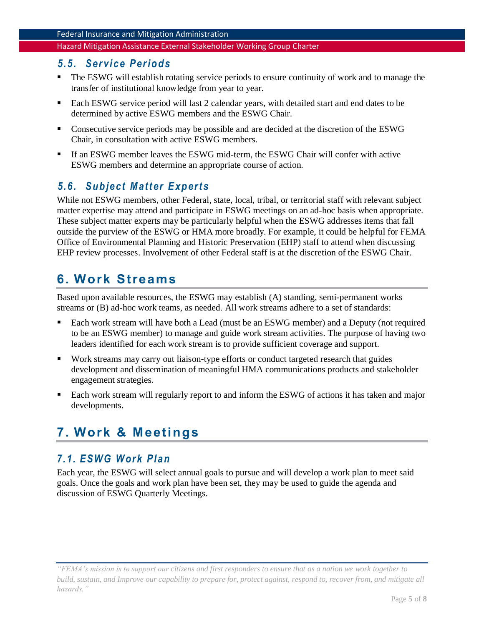#### <span id="page-5-0"></span>*5. 5. Ser vi ce Per io d s*

- The ESWG will establish rotating service periods to ensure continuity of work and to manage the transfer of institutional knowledge from year to year.
- Each ESWG service period will last 2 calendar years, with detailed start and end dates to be determined by active ESWG members and the ESWG Chair.
- Consecutive service periods may be possible and are decided at the discretion of the ESWG Chair, in consultation with active ESWG members.
- If an ESWG member leaves the ESWG mid-term, the ESWG Chair will confer with active ESWG members and determine an appropriate course of action.

#### <span id="page-5-1"></span>*5. 6. Sub ject M att er E xp ert s*

While not ESWG members, other Federal, state, local, tribal, or territorial staff with relevant subject matter expertise may attend and participate in ESWG meetings on an ad-hoc basis when appropriate. These subject matter experts may be particularly helpful when the ESWG addresses items that fall outside the purview of the ESWG or HMA more broadly. For example, it could be helpful for FEMA Office of Environmental Planning and Historic Preservation (EHP) staff to attend when discussing EHP review processes. Involvement of other Federal staff is at the discretion of the ESWG Chair.

## <span id="page-5-2"></span>**6. Work Streams**

Based upon available resources, the ESWG may establish (A) standing, semi-permanent works streams or (B) ad-hoc work teams, as needed. All work streams adhere to a set of standards:

- Each work stream will have both a Lead (must be an ESWG member) and a Deputy (not required to be an ESWG member) to manage and guide work stream activities. The purpose of having two leaders identified for each work stream is to provide sufficient coverage and support.
- Work streams may carry out liaison-type efforts or conduct targeted research that guides development and dissemination of meaningful HMA communications products and stakeholder engagement strategies.
- Each work stream will regularly report to and inform the ESWG of actions it has taken and major developments.

# <span id="page-5-3"></span>**7. Work & Meetings**

#### <span id="page-5-4"></span>*7. 1. ESWG W ork Pl an*

Each year, the ESWG will select annual goals to pursue and will develop a work plan to meet said goals. Once the goals and work plan have been set, they may be used to guide the agenda and discussion of ESWG Quarterly Meetings.

*<sup>&</sup>quot;FEMA's mission is to support our citizens and first responders to ensure that as a nation we work together to build, sustain, and Improve our capability to prepare for, protect against, respond to, recover from, and mitigate all hazards."*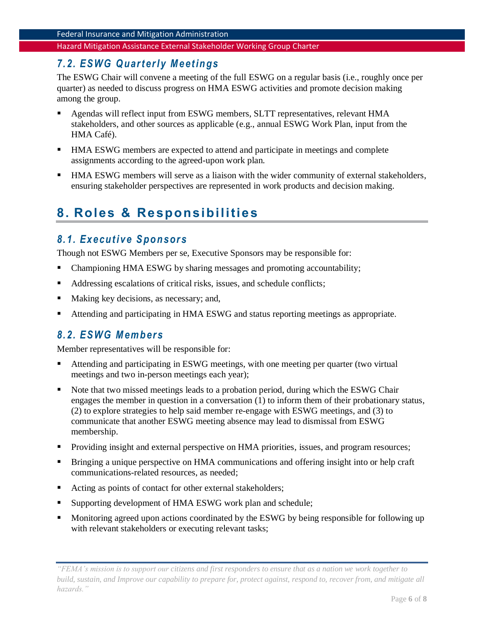#### <span id="page-6-0"></span>*7. 2. ESWG Q uart er l y M eet in gs*

The ESWG Chair will convene a meeting of the full ESWG on a regular basis (i.e., roughly once per quarter) as needed to discuss progress on HMA ESWG activities and promote decision making among the group.

- Agendas will reflect input from ESWG members, SLTT representatives, relevant HMA stakeholders, and other sources as applicable (e.g., annual ESWG Work Plan, input from the HMA Café).
- HMA ESWG members are expected to attend and participate in meetings and complete assignments according to the agreed-upon work plan.
- HMA ESWG members will serve as a liaison with the wider community of external stakeholders, ensuring stakeholder perspectives are represented in work products and decision making.

# <span id="page-6-1"></span>**8. Roles & Responsibilities**

#### <span id="page-6-2"></span>*8. 1. Execut i ve S po n sor s*

Though not ESWG Members per se, Executive Sponsors may be responsible for:

- Championing HMA ESWG by sharing messages and promoting accountability;
- Addressing escalations of critical risks, issues, and schedule conflicts;
- Making key decisions, as necessary; and,
- Attending and participating in HMA ESWG and status reporting meetings as appropriate.

#### <span id="page-6-3"></span>*8. 2. ESWG M em b ers*

Member representatives will be responsible for:

- Attending and participating in ESWG meetings, with one meeting per quarter (two virtual meetings and two in-person meetings each year);
- Note that two missed meetings leads to a probation period, during which the ESWG Chair engages the member in question in a conversation (1) to inform them of their probationary status, (2) to explore strategies to help said member re-engage with ESWG meetings, and (3) to communicate that another ESWG meeting absence may lead to dismissal from ESWG membership.
- Providing insight and external perspective on HMA priorities, issues, and program resources;
- Bringing a unique perspective on HMA communications and offering insight into or help craft communications-related resources, as needed;
- Acting as points of contact for other external stakeholders;
- Supporting development of HMA ESWG work plan and schedule;
- Monitoring agreed upon actions coordinated by the ESWG by being responsible for following up with relevant stakeholders or executing relevant tasks;

*<sup>&</sup>quot;FEMA's mission is to support our citizens and first responders to ensure that as a nation we work together to build, sustain, and Improve our capability to prepare for, protect against, respond to, recover from, and mitigate all hazards."*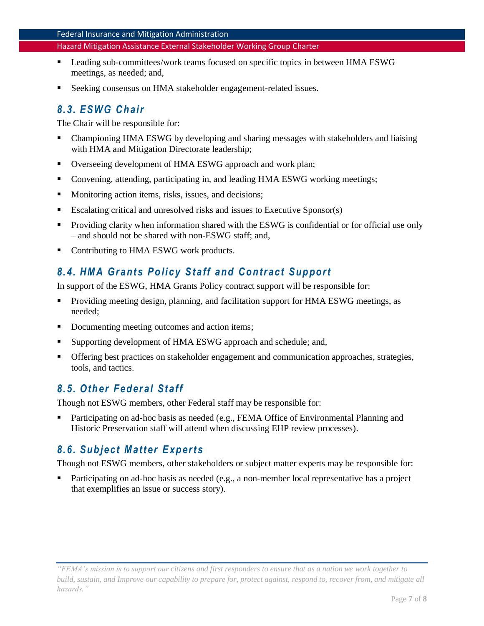- Leading sub-committees/work teams focused on specific topics in between HMA ESWG meetings, as needed; and,
- Seeking consensus on HMA stakeholder engagement-related issues.

## <span id="page-7-0"></span>*8. 3. ESWG C h air*

The Chair will be responsible for:

- Championing HMA ESWG by developing and sharing messages with stakeholders and liaising with HMA and Mitigation Directorate leadership;
- Overseeing development of HMA ESWG approach and work plan;
- Convening, attending, participating in, and leading HMA ESWG working meetings;
- Monitoring action items, risks, issues, and decisions;
- Escalating critical and unresolved risks and issues to Executive Sponsor(s)
- **•** Providing clarity when information shared with the ESWG is confidential or for official use only – and should not be shared with non-ESWG staff; and,
- Contributing to HMA ESWG work products.

## <span id="page-7-1"></span>*8. 4. HM A Grant s Po li cy S taff and C on tract Sup port*

In support of the ESWG, HMA Grants Policy contract support will be responsible for:

- Providing meeting design, planning, and facilitation support for HMA ESWG meetings, as needed;
- Documenting meeting outcomes and action items;
- Supporting development of HMA ESWG approach and schedule; and,
- Offering best practices on stakeholder engagement and communication approaches, strategies, tools, and tactics.

## <span id="page-7-2"></span>*8. 5. Oth er F ed er al St aff*

Though not ESWG members, other Federal staff may be responsible for:

Participating on ad-hoc basis as needed (e.g., FEMA Office of Environmental Planning and Historic Preservation staff will attend when discussing EHP review processes).

#### <span id="page-7-3"></span>*8. 6. Sub ject M att er E xp ert s*

Though not ESWG members, other stakeholders or subject matter experts may be responsible for:

Participating on ad-hoc basis as needed (e.g., a non-member local representative has a project that exemplifies an issue or success story).

*<sup>&</sup>quot;FEMA's mission is to support our citizens and first responders to ensure that as a nation we work together to build, sustain, and Improve our capability to prepare for, protect against, respond to, recover from, and mitigate all hazards."*